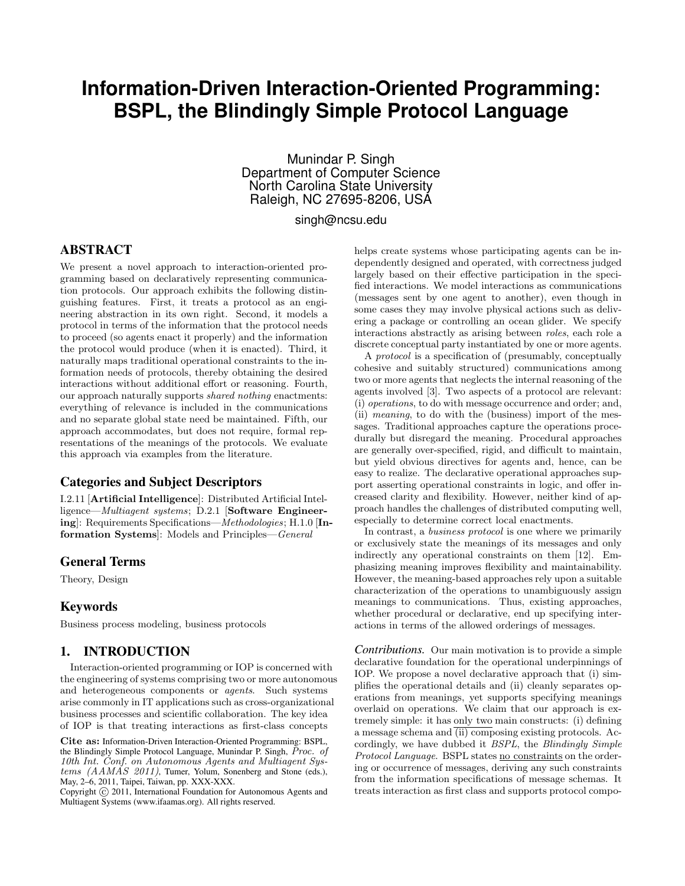# **Information-Driven Interaction-Oriented Programming: BSPL, the Blindingly Simple Protocol Language**

Munindar P. Singh Department of Computer Science North Carolina State University Raleigh, NC 27695-8206, USA

singh@ncsu.edu

### ABSTRACT

We present a novel approach to interaction-oriented programming based on declaratively representing communication protocols. Our approach exhibits the following distinguishing features. First, it treats a protocol as an engineering abstraction in its own right. Second, it models a protocol in terms of the information that the protocol needs to proceed (so agents enact it properly) and the information the protocol would produce (when it is enacted). Third, it naturally maps traditional operational constraints to the information needs of protocols, thereby obtaining the desired interactions without additional effort or reasoning. Fourth, our approach naturally supports *shared nothing* enactments: everything of relevance is included in the communications and no separate global state need be maintained. Fifth, our approach accommodates, but does not require, formal representations of the meanings of the protocols. We evaluate this approach via examples from the literature.

### Categories and Subject Descriptors

I.2.11 [Artificial Intelligence]: Distributed Artificial Intelligence—Multiagent systems; D.2.1 [Software Engineering]: Requirements Specifications—Methodologies; H.1.0 [Information Systems]: Models and Principles—General

### General Terms

Theory, Design

### Keywords

Business process modeling, business protocols

### 1. INTRODUCTION

Interaction-oriented programming or IOP is concerned with the engineering of systems comprising two or more autonomous and heterogeneous components or agents. Such systems arise commonly in IT applications such as cross-organizational business processes and scientific collaboration. The key idea of IOP is that treating interactions as first-class concepts

Cite as: Information-Driven Interaction-Oriented Programming: BSPL, the Blindingly Simple Protocol Language, Munindar P. Singh, Proc. of 10th Int. Conf. on Autonomous Agents and Multiagent Systems (AAMAS 2011), Tumer, Yolum, Sonenberg and Stone (eds.), May, 2–6, 2011, Taipei, Taiwan, pp. XXX-XXX.

Copyright (C) 2011, International Foundation for Autonomous Agents and Multiagent Systems (www.ifaamas.org). All rights reserved.

helps create systems whose participating agents can be independently designed and operated, with correctness judged largely based on their effective participation in the specified interactions. We model interactions as communications (messages sent by one agent to another), even though in some cases they may involve physical actions such as delivering a package or controlling an ocean glider. We specify interactions abstractly as arising between roles, each role a discrete conceptual party instantiated by one or more agents.

A protocol is a specification of (presumably, conceptually cohesive and suitably structured) communications among two or more agents that neglects the internal reasoning of the agents involved [3]. Two aspects of a protocol are relevant: (i) operations, to do with message occurrence and order; and, (ii) meaning, to do with the (business) import of the messages. Traditional approaches capture the operations procedurally but disregard the meaning. Procedural approaches are generally over-specified, rigid, and difficult to maintain, but yield obvious directives for agents and, hence, can be easy to realize. The declarative operational approaches support asserting operational constraints in logic, and offer increased clarity and flexibility. However, neither kind of approach handles the challenges of distributed computing well, especially to determine correct local enactments.

In contrast, a *business protocol* is one where we primarily or exclusively state the meanings of its messages and only indirectly any operational constraints on them [12]. Emphasizing meaning improves flexibility and maintainability. However, the meaning-based approaches rely upon a suitable characterization of the operations to unambiguously assign meanings to communications. Thus, existing approaches, whether procedural or declarative, end up specifying interactions in terms of the allowed orderings of messages.

*Contributions.* Our main motivation is to provide a simple declarative foundation for the operational underpinnings of IOP. We propose a novel declarative approach that (i) simplifies the operational details and (ii) cleanly separates operations from meanings, yet supports specifying meanings overlaid on operations. We claim that our approach is extremely simple: it has only two main constructs: (i) defining a message schema and  $\overline{(\text{ii})}$  composing existing protocols. Accordingly, we have dubbed it BSPL, the Blindingly Simple Protocol Language. BSPL states no constraints on the ordering or occurrence of messages, deriving any such constraints from the information specifications of message schemas. It treats interaction as first class and supports protocol compo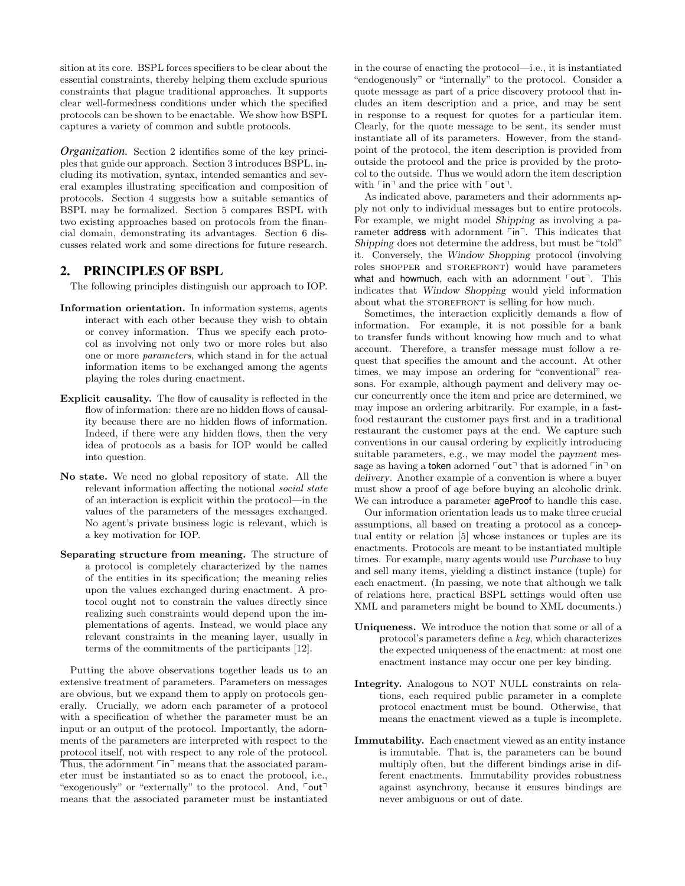sition at its core. BSPL forces specifiers to be clear about the essential constraints, thereby helping them exclude spurious constraints that plague traditional approaches. It supports clear well-formedness conditions under which the specified protocols can be shown to be enactable. We show how BSPL captures a variety of common and subtle protocols.

*Organization.* Section 2 identifies some of the key principles that guide our approach. Section 3 introduces BSPL, including its motivation, syntax, intended semantics and several examples illustrating specification and composition of protocols. Section 4 suggests how a suitable semantics of BSPL may be formalized. Section 5 compares BSPL with two existing approaches based on protocols from the financial domain, demonstrating its advantages. Section 6 discusses related work and some directions for future research.

# 2. PRINCIPLES OF BSPL

The following principles distinguish our approach to IOP.

- Information orientation. In information systems, agents interact with each other because they wish to obtain or convey information. Thus we specify each protocol as involving not only two or more roles but also one or more parameters, which stand in for the actual information items to be exchanged among the agents playing the roles during enactment.
- Explicit causality. The flow of causality is reflected in the flow of information: there are no hidden flows of causality because there are no hidden flows of information. Indeed, if there were any hidden flows, then the very idea of protocols as a basis for IOP would be called into question.
- No state. We need no global repository of state. All the relevant information affecting the notional social state of an interaction is explicit within the protocol—in the values of the parameters of the messages exchanged. No agent's private business logic is relevant, which is a key motivation for IOP.
- Separating structure from meaning. The structure of a protocol is completely characterized by the names of the entities in its specification; the meaning relies upon the values exchanged during enactment. A protocol ought not to constrain the values directly since realizing such constraints would depend upon the implementations of agents. Instead, we would place any relevant constraints in the meaning layer, usually in terms of the commitments of the participants [12].

Putting the above observations together leads us to an extensive treatment of parameters. Parameters on messages are obvious, but we expand them to apply on protocols generally. Crucially, we adorn each parameter of a protocol with a specification of whether the parameter must be an input or an output of the protocol. Importantly, the adornments of the parameters are interpreted with respect to the protocol itself, not with respect to any role of the protocol. Thus, the adornment  $\lceil \mathsf{in} \rceil$  means that the associated parameter must be instantiated so as to enact the protocol, i.e., "exogenously" or "externally" to the protocol. And,  $\lceil \text{out} \rceil$ means that the associated parameter must be instantiated in the course of enacting the protocol—i.e., it is instantiated "endogenously" or "internally" to the protocol. Consider a quote message as part of a price discovery protocol that includes an item description and a price, and may be sent in response to a request for quotes for a particular item. Clearly, for the quote message to be sent, its sender must instantiate all of its parameters. However, from the standpoint of the protocol, the item description is provided from outside the protocol and the price is provided by the protocol to the outside. Thus we would adorn the item description with  $\lceil \mathsf{in} \rceil$  and the price with  $\lceil \mathsf{out} \rceil$ .

As indicated above, parameters and their adornments apply not only to individual messages but to entire protocols. For example, we might model Shipping as involving a parameter address with adornment  $\lceil \mathsf{in} \rceil$ . This indicates that Shipping does not determine the address, but must be "told" it. Conversely, the Window Shopping protocol (involving roles shopper and storefront) would have parameters what and howmuch, each with an adornment  $\lceil \text{out} \rceil$ . This indicates that Window Shopping would yield information about what the STOREFRONT is selling for how much.

Sometimes, the interaction explicitly demands a flow of information. For example, it is not possible for a bank to transfer funds without knowing how much and to what account. Therefore, a transfer message must follow a request that specifies the amount and the account. At other times, we may impose an ordering for "conventional" reasons. For example, although payment and delivery may occur concurrently once the item and price are determined, we may impose an ordering arbitrarily. For example, in a fastfood restaurant the customer pays first and in a traditional restaurant the customer pays at the end. We capture such conventions in our causal ordering by explicitly introducing suitable parameters, e.g., we may model the payment message as having a token adorned  $\lceil \text{out} \rceil$  that is adorned  $\lceil \text{in} \rceil$  on delivery. Another example of a convention is where a buyer must show a proof of age before buying an alcoholic drink. We can introduce a parameter **ageProof** to handle this case.

Our information orientation leads us to make three crucial assumptions, all based on treating a protocol as a conceptual entity or relation [5] whose instances or tuples are its enactments. Protocols are meant to be instantiated multiple times. For example, many agents would use Purchase to buy and sell many items, yielding a distinct instance (tuple) for each enactment. (In passing, we note that although we talk of relations here, practical BSPL settings would often use XML and parameters might be bound to XML documents.)

- Uniqueness. We introduce the notion that some or all of a protocol's parameters define a key, which characterizes the expected uniqueness of the enactment: at most one enactment instance may occur one per key binding.
- Integrity. Analogous to NOT NULL constraints on relations, each required public parameter in a complete protocol enactment must be bound. Otherwise, that means the enactment viewed as a tuple is incomplete.
- Immutability. Each enactment viewed as an entity instance is immutable. That is, the parameters can be bound multiply often, but the different bindings arise in different enactments. Immutability provides robustness against asynchrony, because it ensures bindings are never ambiguous or out of date.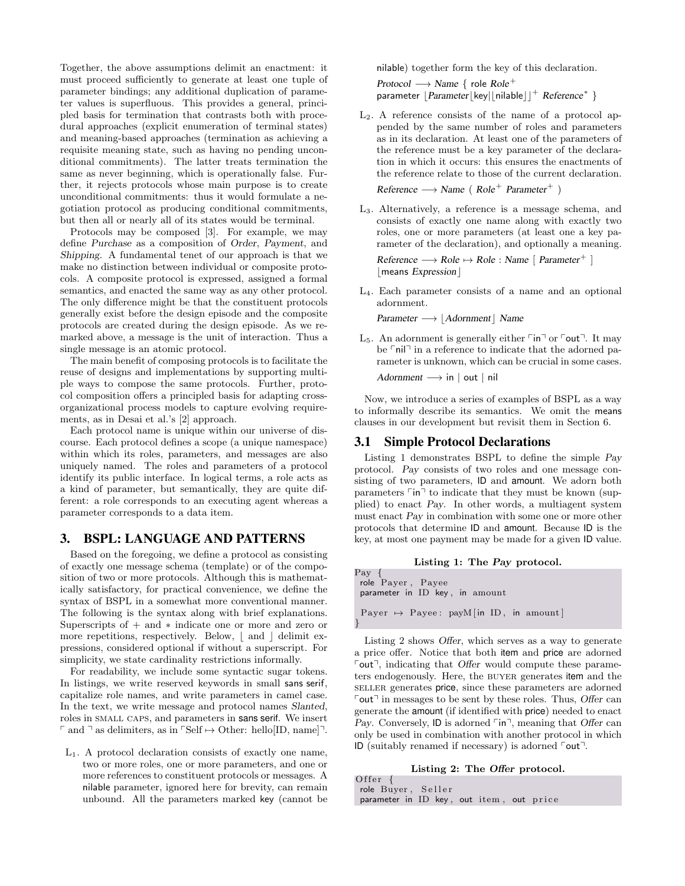Together, the above assumptions delimit an enactment: it must proceed sufficiently to generate at least one tuple of parameter bindings; any additional duplication of parameter values is superfluous. This provides a general, principled basis for termination that contrasts both with procedural approaches (explicit enumeration of terminal states) and meaning-based approaches (termination as achieving a requisite meaning state, such as having no pending unconditional commitments). The latter treats termination the same as never beginning, which is operationally false. Further, it rejects protocols whose main purpose is to create unconditional commitments: thus it would formulate a negotiation protocol as producing conditional commitments, but then all or nearly all of its states would be terminal.

Protocols may be composed [3]. For example, we may define Purchase as a composition of Order, Payment, and Shipping. A fundamental tenet of our approach is that we make no distinction between individual or composite protocols. A composite protocol is expressed, assigned a formal semantics, and enacted the same way as any other protocol. The only difference might be that the constituent protocols generally exist before the design episode and the composite protocols are created during the design episode. As we remarked above, a message is the unit of interaction. Thus a single message is an atomic protocol.

The main benefit of composing protocols is to facilitate the reuse of designs and implementations by supporting multiple ways to compose the same protocols. Further, protocol composition offers a principled basis for adapting crossorganizational process models to capture evolving requirements, as in Desai et al.'s [2] approach.

Each protocol name is unique within our universe of discourse. Each protocol defines a scope (a unique namespace) within which its roles, parameters, and messages are also uniquely named. The roles and parameters of a protocol identify its public interface. In logical terms, a role acts as a kind of parameter, but semantically, they are quite different: a role corresponds to an executing agent whereas a parameter corresponds to a data item.

#### 3. BSPL: LANGUAGE AND PATTERNS

Based on the foregoing, we define a protocol as consisting of exactly one message schema (template) or of the composition of two or more protocols. Although this is mathematically satisfactory, for practical convenience, we define the syntax of BSPL in a somewhat more conventional manner. The following is the syntax along with brief explanations. Superscripts of + and ∗ indicate one or more and zero or more repetitions, respectively. Below,  $\vert$  and  $\vert$  delimit expressions, considered optional if without a superscript. For simplicity, we state cardinality restrictions informally.

For readability, we include some syntactic sugar tokens. In listings, we write reserved keywords in small sans serif, capitalize role names, and write parameters in camel case. In the text, we write message and protocol names Slanted, roles in small caps, and parameters in sans serif. We insert  $\lceil$  and  $\rceil$  as delimiters, as in  $\lceil$ Self  $\mapsto$  Other: hello[ID, name] $\lceil$ .

L1. A protocol declaration consists of exactly one name, two or more roles, one or more parameters, and one or more references to constituent protocols or messages. A nilable parameter, ignored here for brevity, can remain unbound. All the parameters marked key (cannot be nilable) together form the key of this declaration.

Protocol  $\longrightarrow$  Name { role Role<sup>+</sup> parameter  $\lfloor$  Parameter $\lfloor$ key $\lfloor$ [nilable $\rfloor$ ]<sup>+</sup> Reference\*  $\}$ 

 $L_2$ . A reference consists of the name of a protocol appended by the same number of roles and parameters as in its declaration. At least one of the parameters of the reference must be a key parameter of the declaration in which it occurs: this ensures the enactments of the reference relate to those of the current declaration.

 $Reference \longrightarrow Name (Role<sup>+</sup> Parameter<sup>+</sup>)$ 

- L3. Alternatively, a reference is a message schema, and consists of exactly one name along with exactly two roles, one or more parameters (at least one a key parameter of the declaration), and optionally a meaning.  $Reference \longrightarrow Role \mapsto Role : Name$  [ Parameter<sup>+</sup> ]  $|$  means Expression $|$
- L4. Each parameter consists of a name and an optional adornment.

Parameter → Adornment | Name

L<sub>5</sub>. An adornment is generally either  $\lceil \mathsf{in} \rceil$  or  $\lceil \mathsf{out} \rceil$ . It may be  $\lceil$ nil $\rceil$  in a reference to indicate that the adorned parameter is unknown, which can be crucial in some cases.

Adornment  $\longrightarrow$  in | out | nil

Now, we introduce a series of examples of BSPL as a way to informally describe its semantics. We omit the means clauses in our development but revisit them in Section 6.

#### 3.1 Simple Protocol Declarations

Listing 1 demonstrates BSPL to define the simple Pay protocol. Pay consists of two roles and one message consisting of two parameters, ID and amount. We adorn both parameters  $\lceil \mathsf{in} \rceil$  to indicate that they must be known (supplied) to enact Pay. In other words, a multiagent system must enact Pay in combination with some one or more other protocols that determine ID and amount. Because ID is the key, at most one payment may be made for a given ID value.

#### Listing 1: The Pay protocol.

| Pay {<br>role Payer, Payee<br>parameter in ID key, in amount |  |
|--------------------------------------------------------------|--|
| Payer $\mapsto$ Payee: payM [in ID, in amount]               |  |

Listing 2 shows Offer, which serves as a way to generate a price offer. Notice that both item and price are adorned  $\lceil \text{out} \rceil$ , indicating that Offer would compute these parameters endogenously. Here, the BUYER generates item and the seller generates price, since these parameters are adorned  $\lceil \text{out} \rceil$  in messages to be sent by these roles. Thus, Offer can generate the amount (if identified with price) needed to enact Pay. Conversely, ID is adorned  $\lceil \text{in} \rceil$ , meaning that Offer can only be used in combination with another protocol in which ID (suitably renamed if necessary) is adorned  $\lceil \text{out} \rceil$ .

#### Listing 2: The Offer protocol.

O f f e r role Buyer, Seller parameter in ID key, out item, out price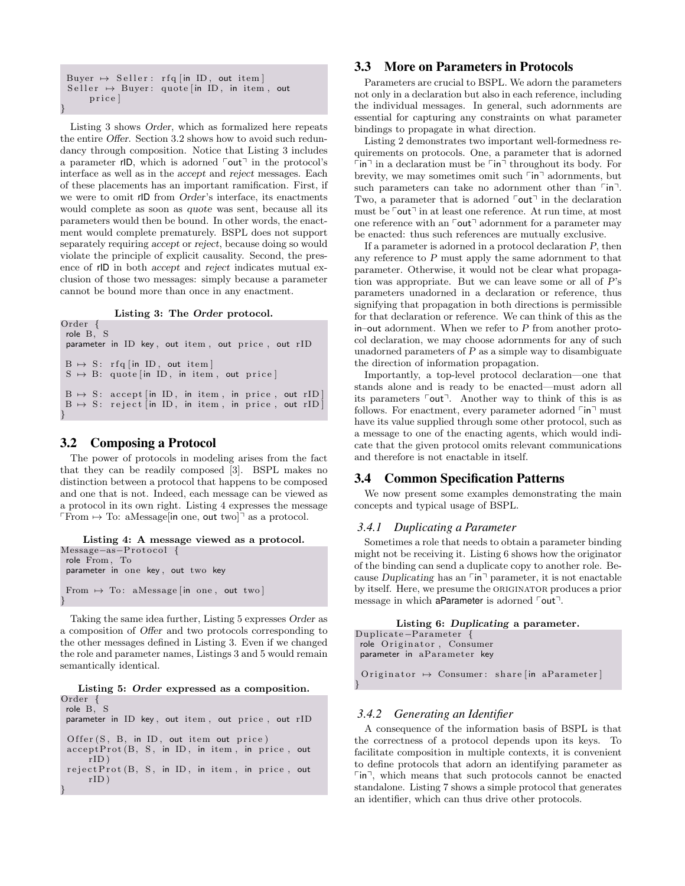```
Buyer \mapsto Seller: rfq [in ID, out item]
 Seller \mapsto Buyer: quote [in ID, in item, out
      p r i c e ]
}
```
Listing 3 shows Order, which as formalized here repeats the entire Offer. Section 3.2 shows how to avoid such redundancy through composition. Notice that Listing 3 includes a parameter rID, which is adorned  $\lceil \text{out} \rceil$  in the protocol's interface as well as in the accept and reject messages. Each of these placements has an important ramification. First, if we were to omit rID from Order's interface, its enactments would complete as soon as quote was sent, because all its parameters would then be bound. In other words, the enactment would complete prematurely. BSPL does not support separately requiring accept or reject, because doing so would violate the principle of explicit causality. Second, the presence of rID in both accept and reject indicates mutual exclusion of those two messages: simply because a parameter cannot be bound more than once in any enactment.

Listing 3: The Order protocol.

```
Order {
role B, S
parameter in ID key, out item, out price, out rID
B \mapsto S: r f q [in ID, out item]
S \rightarrow B: quote [in ID, in item, out price]
B \mapsto S: accept [in ID, in item, in price, out rID]
B \mapsto S: reject in ID, in item, in price, out rID
```
### 3.2 Composing a Protocol

}

}

The power of protocols in modeling arises from the fact that they can be readily composed [3]. BSPL makes no distinction between a protocol that happens to be composed and one that is not. Indeed, each message can be viewed as a protocol in its own right. Listing 4 expresses the message From  $\mapsto$  To: aMessage[in one, out two]<sup> $\exists$ </sup> as a protocol.

```
Listing 4: A message viewed as a protocol.
Message-as-Protocol {
role From , To
parameter in one key , out two key
From \mapsto To: aMessage [in one, out two]
}
```
Taking the same idea further, Listing 5 expresses Order as a composition of Offer and two protocols corresponding to the other messages defined in Listing 3. Even if we changed the role and parameter names, Listings 3 and 5 would remain semantically identical.

Listing 5: Order expressed as a composition. Order {

role B, S parameter in ID key, out item, out price, out rID  $O$  ffer  $(S, B, in ID, out item out price)$  $acceptProt(B, S, in ID, in item, in price, out$  $rID$ )

 $rejectProt(B, S, in ID, in item, in price, out$  $rID$ )

# 3.3 More on Parameters in Protocols

Parameters are crucial to BSPL. We adorn the parameters not only in a declaration but also in each reference, including the individual messages. In general, such adornments are essential for capturing any constraints on what parameter bindings to propagate in what direction.

Listing 2 demonstrates two important well-formedness requirements on protocols. One, a parameter that is adorned  $\ulcorner$  in  $\urcorner$  in a declaration must be  $\ulcorner$  in  $\urcorner$  throughout its body. For brevity, we may sometimes omit such  $\lceil \text{in} \rceil$  adornments, but such parameters can take no adornment other than  $\lceil \mathsf{in} \rceil$ . Two, a parameter that is adorned  $\lceil \text{out} \rceil$  in the declaration must be  $\lceil \text{out} \rceil$  in at least one reference. At run time, at most one reference with an  $\lceil \text{out} \rceil$  adornment for a parameter may be enacted: thus such references are mutually exclusive.

If a parameter is adorned in a protocol declaration P, then any reference to P must apply the same adornment to that parameter. Otherwise, it would not be clear what propagation was appropriate. But we can leave some or all of P's parameters unadorned in a declaration or reference, thus signifying that propagation in both directions is permissible for that declaration or reference. We can think of this as the in–out adornment. When we refer to P from another protocol declaration, we may choose adornments for any of such unadorned parameters of  $P$  as a simple way to disambiguate the direction of information propagation.

Importantly, a top-level protocol declaration—one that stands alone and is ready to be enacted—must adorn all its parameters  $\lceil \text{out} \rceil$ . Another way to think of this is as follows. For enactment, every parameter adorned  $\lceil \mathsf{in} \rceil$  must have its value supplied through some other protocol, such as a message to one of the enacting agents, which would indicate that the given protocol omits relevant communications and therefore is not enactable in itself.

### 3.4 Common Specification Patterns

We now present some examples demonstrating the main concepts and typical usage of BSPL.

#### *3.4.1 Duplicating a Parameter*

Sometimes a role that needs to obtain a parameter binding might not be receiving it. Listing 6 shows how the originator of the binding can send a duplicate copy to another role. Because Duplicating has an  $\lceil \text{in} \rceil$  parameter, it is not enactable by itself. Here, we presume the originator produces a prior message in which aParameter is adorned  $\lceil \text{out} \rceil$ .

```
Listing 6: Duplicating a parameter.
Duplicate−Parameter {
 role Originator, Consumer
 parameter in aParameter key
 Originator \mapsto Consumer: share [in aParameter]
```
### *3.4.2 Generating an Identifier*

}

A consequence of the information basis of BSPL is that the correctness of a protocol depends upon its keys. To facilitate composition in multiple contexts, it is convenient to define protocols that adorn an identifying parameter as  $\lceil \mathsf{in} \rceil$ , which means that such protocols cannot be enacted standalone. Listing 7 shows a simple protocol that generates an identifier, which can thus drive other protocols.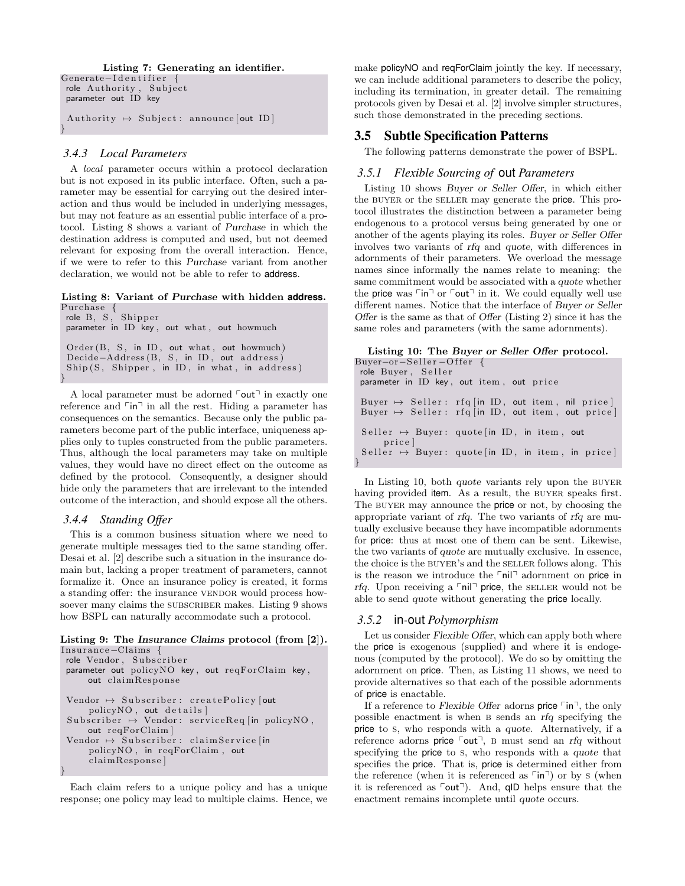Listing 7: Generating an identifier.

```
Generate-Identifier {
 role Authority, Subject
 parameter out ID key
```
Authority  $\mapsto$  Subject : announce [out ID] }

#### *3.4.3 Local Parameters*

A local parameter occurs within a protocol declaration but is not exposed in its public interface. Often, such a parameter may be essential for carrying out the desired interaction and thus would be included in underlying messages, but may not feature as an essential public interface of a protocol. Listing 8 shows a variant of Purchase in which the destination address is computed and used, but not deemed relevant for exposing from the overall interaction. Hence, if we were to refer to this Purchase variant from another declaration, we would not be able to refer to address.

Listing 8: Variant of Purchase with hidden **address**. Purchase {

role B, S, Shipper parameter in ID key, out what, out howmuch  $Order(B, S, in ID, out what, out how much)$ Decide-Address (B, S, in ID, out address)  $\mathrm{Ship}\left( \overline{S}\, ,\ \ \mathrm{Shipper}\, ,\ \ \text{in}\ \ \mathrm{ID}\, ,\ \ \text{in}\ \ \mathrm{what}\, ,\ \ \text{in}\ \ \mathrm{address}\, \right)$ 

A local parameter must be adorned  $\lceil \text{out} \rceil$  in exactly one reference and  $\lceil \mathsf{in} \rceil$  in all the rest. Hiding a parameter has consequences on the semantics. Because only the public parameters become part of the public interface, uniqueness applies only to tuples constructed from the public parameters. Thus, although the local parameters may take on multiple values, they would have no direct effect on the outcome as defined by the protocol. Consequently, a designer should hide only the parameters that are irrelevant to the intended outcome of the interaction, and should expose all the others.

#### *3.4.4 Standing Offer*

}

This is a common business situation where we need to generate multiple messages tied to the same standing offer. Desai et al. [2] describe such a situation in the insurance domain but, lacking a proper treatment of parameters, cannot formalize it. Once an insurance policy is created, it forms a standing offer: the insurance VENDOR would process howsoever many claims the SUBSCRIBER makes. Listing 9 shows how BSPL can naturally accommodate such a protocol.

#### Listing 9: The Insurance Claims protocol (from [2]). Insurance-Claims {

```
role Vendor, Subscriber
parameter out policy NO key, out req For Claim key,
     out claimResponse
 Vendor \mapsto Subscriber: create Policy [out
     \text{policyNO}, out \text{details}]
 Subscriber \mapsto Vendor: serviceReq [in policyNO,
     out reqForClaim ]
 Vendor \rightarrow Subscripter: claimService [inpolicyNO , in reqForClaim , out
     claim Response]
}
```
Each claim refers to a unique policy and has a unique response; one policy may lead to multiple claims. Hence, we make policyNO and reqForClaim jointly the key. If necessary, we can include additional parameters to describe the policy, including its termination, in greater detail. The remaining protocols given by Desai et al. [2] involve simpler structures, such those demonstrated in the preceding sections.

### 3.5 Subtle Specification Patterns

The following patterns demonstrate the power of BSPL.

#### *3.5.1 Flexible Sourcing of* out *Parameters*

Listing 10 shows Buyer or Seller Offer, in which either the BUYER or the SELLER may generate the **price**. This protocol illustrates the distinction between a parameter being endogenous to a protocol versus being generated by one or another of the agents playing its roles. Buyer or Seller Offer involves two variants of rfq and quote, with differences in adornments of their parameters. We overload the message names since informally the names relate to meaning: the same commitment would be associated with a quote whether the price was  $\ulcorner\mathsf{in}\urcorner$  or  $\ulcorner\mathsf{out}\urcorner$  in it. We could equally well use different names. Notice that the interface of Buyer or Seller Offer is the same as that of Offer (Listing 2) since it has the same roles and parameters (with the same adornments).

| Buyer $\mapsto$ Seller: rfq [in ID, out item, nil price] |
|----------------------------------------------------------|
| Buyer $\mapsto$ Seller: rfq [in ID, out item, out price] |
|                                                          |
|                                                          |
|                                                          |
| Seller $\mapsto$ Buyer: quote [in ID, in item, in price] |
|                                                          |
|                                                          |

In Listing 10, both *quote* variants rely upon the BUYER having provided item. As a result, the BUYER speaks first. The BUYER may announce the **price** or not, by choosing the appropriate variant of rfq. The two variants of rfq are mutually exclusive because they have incompatible adornments for price: thus at most one of them can be sent. Likewise, the two variants of quote are mutually exclusive. In essence, the choice is the BUYER's and the SELLER follows along. This is the reason we introduce the  $\lceil$ nil $\rceil$  adornment on price in rfq. Upon receiving a  $\lceil$  nil $\rceil$  price, the seller would not be able to send quote without generating the price locally.

#### *3.5.2* in*-*out *Polymorphism*

}

Let us consider Flexible Offer, which can apply both where the price is exogenous (supplied) and where it is endogenous (computed by the protocol). We do so by omitting the adornment on price. Then, as Listing 11 shows, we need to provide alternatives so that each of the possible adornments of price is enactable.

If a reference to Flexible Offer adorns price  $\lceil \ln \rceil$ , the only possible enactment is when b sends an rfq specifying the price to s, who responds with a quote. Alternatively, if a reference adorns price  $\lceil \text{out} \rceil$ , B must send an rfq without specifying the price to s, who responds with a quote that specifies the price. That is, price is determined either from the reference (when it is referenced as  $\lceil \mathsf{in} \rceil$ ) or by s (when it is referenced as  $\lceil \text{out} \rceil$ ). And, qID helps ensure that the enactment remains incomplete until quote occurs.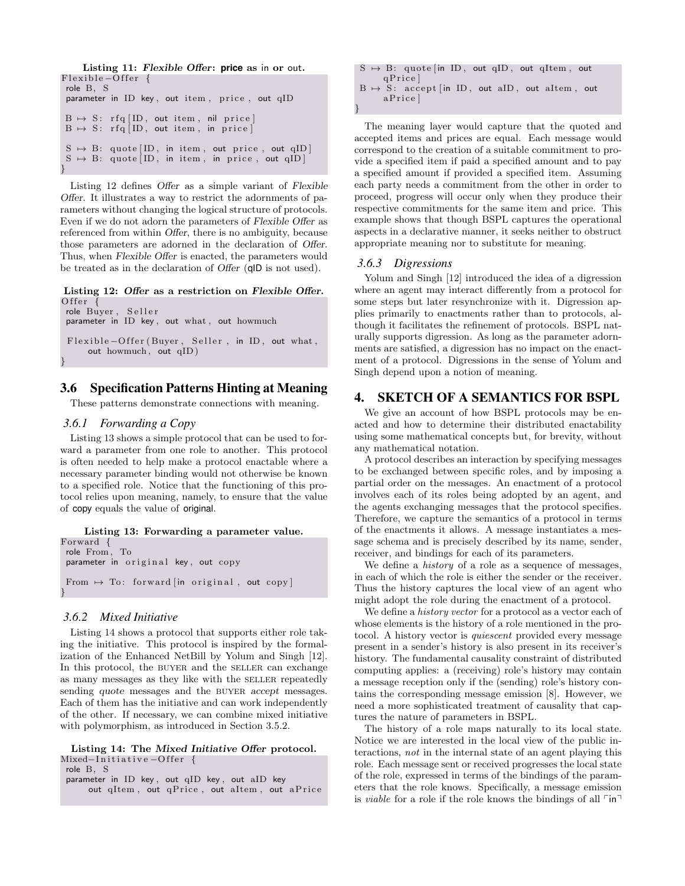```
Listing 11: Flexible Offer: price as in or out.
Flexible-Offer {
 role B, S
 parameter in ID key, out item, price, out qID
 \text{B} \; \mapsto \; \text{S}: \; \; \text{rfq} \; \big[ \hspace{0.1cm} \text{ID} \, , \; \; \text{out} \; \; \text{item} \; , \; \; \text{nil} \; \; \text{price} \, \big]B \mapsto S: rfq [ID, out item, in price]
 S \rightarrow B: \text{ quote } [ID, \text{ in item}, \text{ out price}, \text{ out } qID]S \rightarrow B: quote [ID, in item, in price, out qID]
}
```
Listing 12 defines Offer as a simple variant of Flexible Offer. It illustrates a way to restrict the adornments of parameters without changing the logical structure of protocols. Even if we do not adorn the parameters of Flexible Offer as referenced from within Offer, there is no ambiguity, because those parameters are adorned in the declaration of Offer. Thus, when Flexible Offer is enacted, the parameters would be treated as in the declaration of Offer (qID is not used).

Listing 12: Offer as a restriction on Flexible Offer. O f f e r

role Buyer, Seller parameter in ID key, out what, out howmuch Flexible – Offer (Buyer, Seller, in ID, out what, out howmuch, out qID)

# 3.6 Specification Patterns Hinting at Meaning

These patterns demonstrate connections with meaning.

### *3.6.1 Forwarding a Copy*

}

Listing 13 shows a simple protocol that can be used to forward a parameter from one role to another. This protocol is often needed to help make a protocol enactable where a necessary parameter binding would not otherwise be known to a specified role. Notice that the functioning of this protocol relies upon meaning, namely, to ensure that the value of copy equals the value of original.

Listing 13: Forwarding a parameter value. Forward { role From , To parameter in original key, out copy From  $\mapsto$  To: forward [in original, out copy] }

#### *3.6.2 Mixed Initiative*

Listing 14 shows a protocol that supports either role taking the initiative. This protocol is inspired by the formalization of the Enhanced NetBill by Yolum and Singh [12]. In this protocol, the BUYER and the SELLER can exchange as many messages as they like with the SELLER repeatedly sending quote messages and the BUYER accept messages. Each of them has the initiative and can work independently of the other. If necessary, we can combine mixed initiative with polymorphism, as introduced in Section 3.5.2.

Listing 14: The Mixed Initiative Offer protocol. Mixed-Initiative-Offer {

```
role B, S
```
parameter in ID key, out qID key, out aID key out qItem, out qPrice, out aItem, out aPrice

 $S \rightarrow B$ : quote [in ID, out qID, out qItem, out q P rice ]  $B \mapsto S$ : accept [in ID, out aID, out aItem, out a Price] }

The meaning layer would capture that the quoted and accepted items and prices are equal. Each message would correspond to the creation of a suitable commitment to provide a specified item if paid a specified amount and to pay a specified amount if provided a specified item. Assuming each party needs a commitment from the other in order to proceed, progress will occur only when they produce their respective commitments for the same item and price. This example shows that though BSPL captures the operational aspects in a declarative manner, it seeks neither to obstruct appropriate meaning nor to substitute for meaning.

#### *3.6.3 Digressions*

Yolum and Singh [12] introduced the idea of a digression where an agent may interact differently from a protocol for some steps but later resynchronize with it. Digression applies primarily to enactments rather than to protocols, although it facilitates the refinement of protocols. BSPL naturally supports digression. As long as the parameter adornments are satisfied, a digression has no impact on the enactment of a protocol. Digressions in the sense of Yolum and Singh depend upon a notion of meaning.

### 4. SKETCH OF A SEMANTICS FOR BSPL

We give an account of how BSPL protocols may be enacted and how to determine their distributed enactability using some mathematical concepts but, for brevity, without any mathematical notation.

A protocol describes an interaction by specifying messages to be exchanged between specific roles, and by imposing a partial order on the messages. An enactment of a protocol involves each of its roles being adopted by an agent, and the agents exchanging messages that the protocol specifies. Therefore, we capture the semantics of a protocol in terms of the enactments it allows. A message instantiates a message schema and is precisely described by its name, sender, receiver, and bindings for each of its parameters.

We define a history of a role as a sequence of messages, in each of which the role is either the sender or the receiver. Thus the history captures the local view of an agent who might adopt the role during the enactment of a protocol.

We define a *history vector* for a protocol as a vector each of whose elements is the history of a role mentioned in the protocol. A history vector is quiescent provided every message present in a sender's history is also present in its receiver's history. The fundamental causality constraint of distributed computing applies: a (receiving) role's history may contain a message reception only if the (sending) role's history contains the corresponding message emission [8]. However, we need a more sophisticated treatment of causality that captures the nature of parameters in BSPL.

The history of a role maps naturally to its local state. Notice we are interested in the local view of the public interactions, not in the internal state of an agent playing this role. Each message sent or received progresses the local state of the role, expressed in terms of the bindings of the parameters that the role knows. Specifically, a message emission is *viable* for a role if the role knows the bindings of all  $\lceil \mathsf{in} \rceil$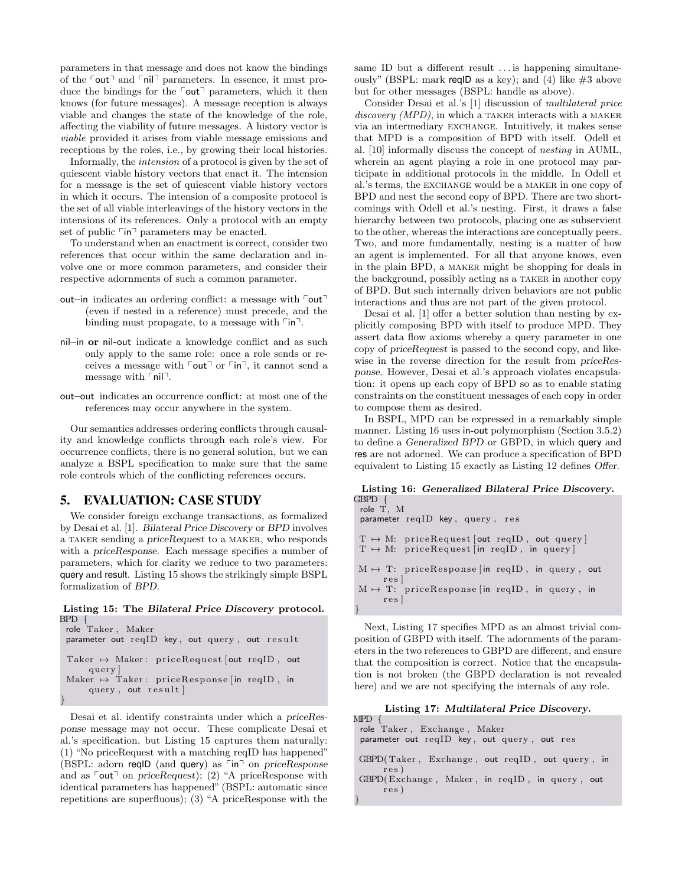parameters in that message and does not know the bindings of the  $\lceil \text{out} \rceil$  and  $\lceil \text{nil} \rceil$  parameters. In essence, it must produce the bindings for the  $\lceil \text{out} \rceil$  parameters, which it then knows (for future messages). A message reception is always viable and changes the state of the knowledge of the role, affecting the viability of future messages. A history vector is viable provided it arises from viable message emissions and receptions by the roles, i.e., by growing their local histories.

Informally, the intension of a protocol is given by the set of quiescent viable history vectors that enact it. The intension for a message is the set of quiescent viable history vectors in which it occurs. The intension of a composite protocol is the set of all viable interleavings of the history vectors in the intensions of its references. Only a protocol with an empty set of public  $\lceil \mathsf{in} \rceil$  parameters may be enacted.

To understand when an enactment is correct, consider two references that occur within the same declaration and involve one or more common parameters, and consider their respective adornments of such a common parameter.

- out–in indicates an ordering conflict: a message with  $\lceil \text{out} \rceil$ (even if nested in a reference) must precede, and the binding must propagate, to a message with  $\lceil \mathsf{in} \rceil$ .
- nil–in or nil-out indicate a knowledge conflict and as such only apply to the same role: once a role sends or receives a message with  $\lceil \text{out} \rceil$  or  $\lceil \text{in} \rceil$ , it cannot send a message with  $\lceil$ nil $\lceil$ .
- out–out indicates an occurrence conflict: at most one of the references may occur anywhere in the system.

Our semantics addresses ordering conflicts through causality and knowledge conflicts through each role's view. For occurrence conflicts, there is no general solution, but we can analyze a BSPL specification to make sure that the same role controls which of the conflicting references occurs.

### 5. EVALUATION: CASE STUDY

We consider foreign exchange transactions, as formalized by Desai et al. [1]. Bilateral Price Discovery or BPD involves a taker sending a priceRequest to a maker, who responds with a priceResponse. Each message specifies a number of parameters, which for clarity we reduce to two parameters: query and result. Listing 15 shows the strikingly simple BSPL formalization of BPD.

#### Listing 15: The Bilateral Price Discovery protocol. BPD {

```
role Taker , Maker
 parameter out reqID key, out query, out result
 {\rm Taker}\ \mapsto\ {\rm Maker}\colon\ {\rm priceRequest}\ [{\rm out}\ {\rm reqID}\ ,\ {\rm out}query ]
 Maker \mapsto Taker: priceResponse [in reqID, in
      query, out result]
}
```
Desai et al. identify constraints under which a priceResponse message may not occur. These complicate Desai et al.'s specification, but Listing 15 captures them naturally: (1) "No priceRequest with a matching reqID has happened" (BSPL: adorn reqID (and query) as  $\lceil \cdot \ln \rceil$  on priceResponse and as  $\lceil \text{out} \rceil$  on priceRequest); (2) "A priceResponse with identical parameters has happened" (BSPL: automatic since repetitions are superfluous); (3) "A priceResponse with the same ID but a different result ... is happening simultaneously" (BSPL: mark reqID as a key); and (4) like  $\#3$  above but for other messages (BSPL: handle as above).

Consider Desai et al.'s [1] discussion of multilateral price  $discovery (MPD)$ , in which a TAKER interacts with a MAKER via an intermediary exchange. Intuitively, it makes sense that MPD is a composition of BPD with itself. Odell et al. [10] informally discuss the concept of nesting in AUML, wherein an agent playing a role in one protocol may participate in additional protocols in the middle. In Odell et al.'s terms, the exchange would be a maker in one copy of BPD and nest the second copy of BPD. There are two shortcomings with Odell et al.'s nesting. First, it draws a false hierarchy between two protocols, placing one as subservient to the other, whereas the interactions are conceptually peers. Two, and more fundamentally, nesting is a matter of how an agent is implemented. For all that anyone knows, even in the plain BPD, a maker might be shopping for deals in the background, possibly acting as a taker in another copy of BPD. But such internally driven behaviors are not public interactions and thus are not part of the given protocol.

Desai et al. [1] offer a better solution than nesting by explicitly composing BPD with itself to produce MPD. They assert data flow axioms whereby a query parameter in one copy of priceRequest is passed to the second copy, and likewise in the reverse direction for the result from priceResponse. However, Desai et al.'s approach violates encapsulation: it opens up each copy of BPD so as to enable stating constraints on the constituent messages of each copy in order to compose them as desired.

In BSPL, MPD can be expressed in a remarkably simple manner. Listing 16 uses in-out polymorphism (Section 3.5.2) to define a Generalized BPD or GBPD, in which query and res are not adorned. We can produce a specification of BPD equivalent to Listing 15 exactly as Listing 12 defines Offer.

| Listing 16: Generalized Bilateral Price Discovery.                                                      |
|---------------------------------------------------------------------------------------------------------|
| GBPD {                                                                                                  |
| role T, M                                                                                               |
| parameter reqID key, query, res                                                                         |
| $T \mapsto M$ : priceRequest[out reqID, out query]<br>$T \mapsto M$ : priceRequest [in reqID, in query] |
| $M \mapsto T$ : priceResponse in reqID, in query, out<br>res                                            |
| $M \mapsto T$ : priceResponse [in reqID, in query, in                                                   |
| res                                                                                                     |
|                                                                                                         |

Next, Listing 17 specifies MPD as an almost trivial composition of GBPD with itself. The adornments of the parameters in the two references to GBPD are different, and ensure that the composition is correct. Notice that the encapsulation is not broken (the GBPD declaration is not revealed here) and we are not specifying the internals of any role.

#### Listing 17: Multilateral Price Discovery.

| $MPD \{$                                               |
|--------------------------------------------------------|
| role Taker, Exchange, Maker                            |
| parameter out reqID key, out query, out res            |
| GBPD(Taker, Exchange, out reqID, out query, in<br>res) |
| GBPD(Exchange, Maker, in reqID, in query, out          |
| res)                                                   |
|                                                        |